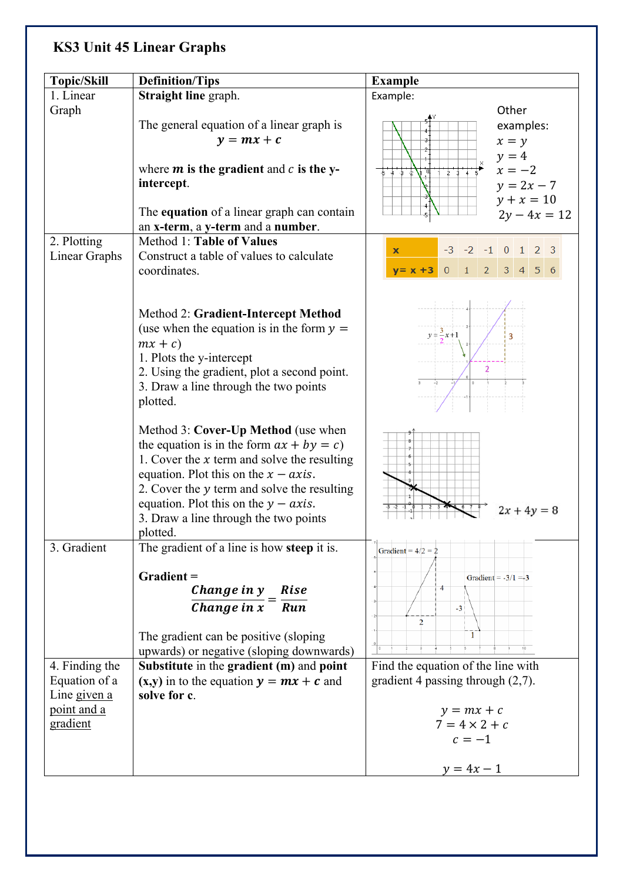## **KS3 Unit 45 Linear Graphs**

| <b>Topic/Skill</b>                                       | <b>Definition/Tips</b>                                                                                                                                                                                                                                                                                                        | <b>Example</b>                                                                                                                            |
|----------------------------------------------------------|-------------------------------------------------------------------------------------------------------------------------------------------------------------------------------------------------------------------------------------------------------------------------------------------------------------------------------|-------------------------------------------------------------------------------------------------------------------------------------------|
| 1. Linear                                                | <b>Straight line graph.</b>                                                                                                                                                                                                                                                                                                   | Example:                                                                                                                                  |
| Graph                                                    | The general equation of a linear graph is<br>$y = mx + c$<br>where $m$ is the gradient and $c$ is the y-<br>intercept.<br>The equation of a linear graph can contain                                                                                                                                                          | Other<br>examples:<br>a,<br>$x = y$<br>$y = 4$<br>$x = -2$<br>क क क क ≹ <b>∖</b><br>2.3<br>$y = 2x - 7$<br>$y + x = 10$<br>$2y - 4x = 12$ |
|                                                          | an x-term, a y-term and a number.                                                                                                                                                                                                                                                                                             |                                                                                                                                           |
| 2. Plotting<br>Linear Graphs                             | Method 1: Table of Values<br>Construct a table of values to calculate<br>coordinates.                                                                                                                                                                                                                                         | $-3$ $-2$ $-1$ 0 1 2 3<br>$\mathbf x$<br>2 <sup>1</sup><br>$3 \quad 4 \quad 5 \quad 6$<br>$0 \quad 1$<br>$y = x + 3$                      |
|                                                          | Method 2: Gradient-Intercept Method<br>(use when the equation is in the form $y =$<br>$mx + c$<br>1. Plots the y-intercept<br>2. Using the gradient, plot a second point.<br>3. Draw a line through the two points<br>plotted.                                                                                                | $y = \frac{3}{2}x + 1$<br>3<br>$\overline{2}$                                                                                             |
|                                                          | Method 3: Cover-Up Method (use when<br>the equation is in the form $ax + by = c$ )<br>1. Cover the $x$ term and solve the resulting<br>equation. Plot this on the $x - axis$ .<br>2. Cover the y term and solve the resulting<br>equation. Plot this on the $y - axis$ .<br>3. Draw a line through the two points<br>plotted. | $2x + 4y = 8$                                                                                                                             |
| 3. Gradient                                              | The gradient of a line is how <b>steep</b> it is.<br>Gradient =<br>Change in y<br>Rise                                                                                                                                                                                                                                        | Gradient = $4/2 = 2$<br>Gradient = $-3/1 = -3$<br>$\overline{4}$                                                                          |
|                                                          | Change in $x$ <sup>-</sup> Run<br>The gradient can be positive (sloping)<br>upwards) or negative (sloping downwards)                                                                                                                                                                                                          | $-3$<br>$\overline{2}$<br>$\mathbf{1}$                                                                                                    |
| 4. Finding the                                           | Substitute in the gradient (m) and point                                                                                                                                                                                                                                                                                      | Find the equation of the line with                                                                                                        |
| Equation of a<br>Line given a<br>point and a<br>gradient | $(x,y)$ in to the equation $y = mx + c$ and<br>solve for c.                                                                                                                                                                                                                                                                   | gradient 4 passing through $(2,7)$ .<br>$y = mx + c$<br>$7 = 4 \times 2 + c$<br>$c=-1$<br>$y = 4x - 1$                                    |
|                                                          |                                                                                                                                                                                                                                                                                                                               |                                                                                                                                           |